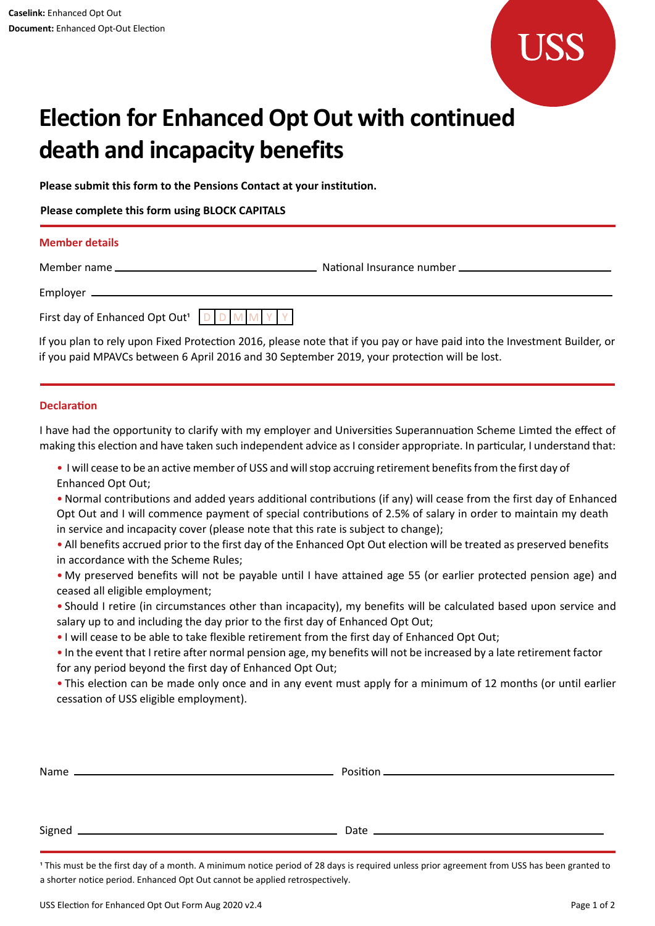

# **Election for Enhanced Opt Out with continued death and incapacity benefits**

**Please submit this form to the Pensions Contact at your institution.**

**Please complete this form using BLOCK CAPITALS**

#### **Member details**

Member name

Employer

**National Insurance number \_** 

| First day of Enhanced Opt Out <sup>1</sup> D D M M Y Y |  |  |  |
|--------------------------------------------------------|--|--|--|

If you plan to rely upon Fixed Protection 2016, please note that if you pay or have paid into the Investment Builder, or if you paid MPAVCs between 6 April 2016 and 30 September 2019, your protection will be lost.

## **Declaration**

I have had the opportunity to clarify with my employer and Universities Superannuation Scheme Limted the effect of making this election and have taken such independent advice as I consider appropriate. In particular, I understand that:

• I will cease to be an active member of USS and will stop accruing retirement benefits from the first day of Enhanced Opt Out;

• Normal contributions and added years additional contributions (if any) will cease from the first day of Enhanced Opt Out and I will commence payment of special contributions of 2.5% of salary in order to maintain my death in service and incapacity cover (please note that this rate is subject to change);

• All benefits accrued prior to the first day of the Enhanced Opt Out election will be treated as preserved benefits in accordance with the Scheme Rules;

• My preserved benefits will not be payable until I have attained age 55 (or earlier protected pension age) and ceased all eligible employment;

• Should I retire (in circumstances other than incapacity), my benefits will be calculated based upon service and salary up to and including the day prior to the first day of Enhanced Opt Out;

• I will cease to be able to take flexible retirement from the first day of Enhanced Opt Out;

• In the event that I retire after normal pension age, my benefits will not be increased by a late retirement factor for any period beyond the first day of Enhanced Opt Out;

• This election can be made only once and in any event must apply for a minimum of 12 months (or until earlier cessation of USS eligible employment).

1 This must be the first day of a month. A minimum notice period of 28 days is required unless prior agreement from USS has been granted to a shorter notice period. Enhanced Opt Out cannot be applied retrospectively.